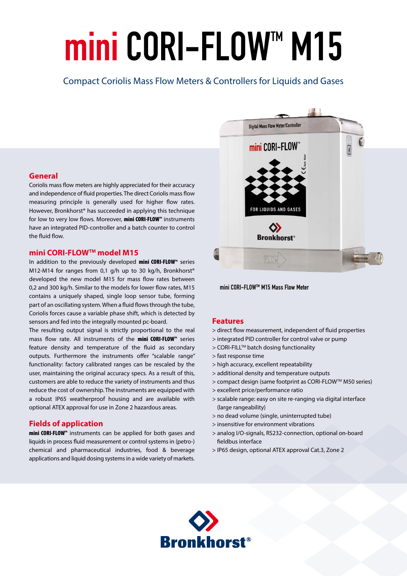# mini CORI-FLOW™ M15

# Compact Coriolis Mass Flow Meters & Controllers for Liquids and Gases

#### **General**

Coriolis mass flow meters are highly appreciated for their accuracy and independence of fluid properties. The direct Coriolis mass flow measuring principle is generally used for higher flow rates. However, Bronkhorst® has succeeded in applying this technique for low to very low flows. Moreover, mini CORI-FLOW<sup>M</sup> instruments have an integrated PID-controller and a batch counter to control the fluid flow.

#### **mini CORI-FLOWTM model M15**

In addition to the previously developed mini CORI-FLOW™ series M12-M14 for ranges from 0,1 g/h up to 30 kg/h, Bronkhorst® developed the new model M15 for mass flow rates between 0,2 and 300 kg/h. Similar to the models for lower flow rates, M15 contains a uniquely shaped, single loop sensor tube, forming part of an oscillating system. When a fluid flows through the tube, Coriolis forces cause a variable phase shift, which is detected by sensors and fed into the integrally mounted pc-board.

The resulting output signal is strictly proportional to the real mass flow rate. All instruments of the **mini CORI-FLOW**<sup>*M*</sup> series feature density and temperature of the fluid as secondary outputs. Furthermore the instruments offer "scalable range" functionality: factory calibrated ranges can be rescaled by the user, maintaining the original accuracy specs. As a result of this, customers are able to reduce the variety of instruments and thus reduce the cost of ownership. The instruments are equipped with a robust IP65 weatherproof housing and are available with optional ATEX approval for use in Zone 2 hazardous areas.

# **Fields of application**

mini CORI-FLOW™ instruments can be applied for both gases and liquids in process fluid measurement or control systems in (petro-) chemical and pharmaceutical industries, food & beverage applications and liquid dosing systems in a wide variety of markets.



mini CORI-FLOWTM M15 Mass Flow Meter

#### **Features**

- > direct flow measurement, independent of fluid properties
- > integrated PID controller for control valve or pump
- > CORI-FILL™ batch dosing functionality
- > fast response time
- > high accuracy, excellent repeatability
- > additional density and temperature outputs
- > compact design (same footprint as CORI-FLOW™ M50 series)
- > excellent price/performance ratio
- > scalable range: easy on site re-ranging via digital interface (large rangeability)
- > no dead volume (single, uninterrupted tube)
- > insensitive for environment vibrations
- > analog I/O-signals, RS232-connection, optional on-board fieldbus interface
- > IP65 design, optional ATEX approval Cat.3, Zone 2

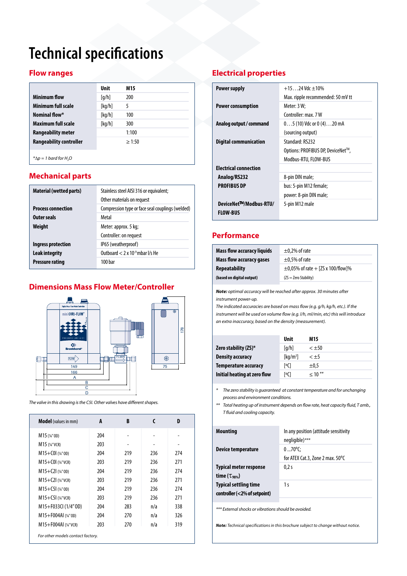# **Technical specifications**

# **Flow ranges**

| [q/h]<br>200<br>[kq/h]<br>5<br>[kq/h]<br>100 |  |
|----------------------------------------------|--|
|                                              |  |
|                                              |  |
|                                              |  |
| [kq/h]<br>300                                |  |
| 1:100                                        |  |
| >1:50                                        |  |
|                                              |  |

 $*$ <sup> $\Delta p$ </sup> = 1 bard for H<sub>2</sub>O

# **Mechanical parts**

| <b>Material (wetted parts)</b> | Stainless steel AISI 316 or equivalent;<br>Other materials on request |  |
|--------------------------------|-----------------------------------------------------------------------|--|
| <b>Process connection</b>      | Compression type or face seal couplings (welded)                      |  |
| Outer seals                    | Metal                                                                 |  |
| Weight                         | Meter: approx. 5 kg;                                                  |  |
|                                | Controller: on request                                                |  |
| Ingress protection             | IP65 (weatherproof)                                                   |  |
| Leak integrity                 | Outboard $< 2 \times 10^{-9}$ mbar I/s He                             |  |
| <b>Pressure rating</b>         | 100 har                                                               |  |

# **Dimensions Mass Flow Meter/Controller**



*The valve in this drawing is the C5I. Other valves have different shapes.*

| <b>Model</b> (values in mm) | A   | B   | C   | D   |
|-----------------------------|-----|-----|-----|-----|
| $M15$ (%" OD)               | 204 |     |     |     |
| $M15$ (%"VCR)               | 203 |     |     |     |
| $M15+COI$ (%"OD)            | 204 | 219 | 236 | 274 |
| $M15+COI$ (%" vcr)          | 203 | 219 | 236 | 271 |
| $M15+C21$ (%" OD)           | 204 | 219 | 236 | 274 |
| $M15+C21$ (%"VCR)           | 203 | 219 | 236 | 271 |
| $M15+C51$ (%" OD)           | 204 | 219 | 236 | 274 |
| $M15+C5I$ (%" VCR)          | 203 | 219 | 236 | 271 |
| M15+F033CI (1/4"OD)         | 204 | 283 | n/a | 338 |
| M15+F004AI (14"0D)          | 204 | 270 | n/a | 326 |
| $M15 + F004Al (14"VCR)$     | 203 | 270 | n/a | 319 |

# **Electrical properties**

| <b>Power supply</b>          | $+15$ 24 Vdc $+10\%$              |
|------------------------------|-----------------------------------|
|                              | Max. ripple recommended: 50 mV tt |
| <b>Power consumption</b>     | Meter: 3 W:                       |
|                              | Controller: max. 7W               |
| Analog output / command      | $05(10)$ Vdc or $0(4)$ 20 mA      |
|                              | (sourcing output)                 |
| <b>Digital communication</b> | Standard: RS232                   |
|                              | Options: PROFIBUS DP, DeviceNet™, |
|                              | Modbus-RTU, FLOW-BUS              |
| <b>Electrical connection</b> |                                   |
| Analog/RS232                 | 8-pin DIN male;                   |
| <b>PROFIBUS DP</b>           | bus: 5-pin M12 female;            |
|                              | power: 8-pin DIN male;            |
| DeviceNet™/Modbus-RTU/       | 5-pin M12 male                    |
| <b>FLOW-BUS</b>              |                                   |
|                              |                                   |

# **Performance**

| <b>Mass flow accuracy liquids</b> | $\pm$ 0,2% of rate                     |
|-----------------------------------|----------------------------------------|
| <b>Mass flow accuracy gases</b>   | $\pm$ 0.5% of rate                     |
| Repeatability                     | $\pm$ 0.05% of rate + [ZS x 100/flow]% |
| (based on digital output)         | $(ZS = Zero Stability)$                |

*Note: optimal accuracy will be reached after approx. 30 minutes after instrument power-up.* 

*The indicated accuracies are based on mass flow (e.g. g/h, kg/h, etc.). If the instrument will be used on volume flow (e.g. l/h, ml/min, etc) this will introduce an extra inaccuracy, based on the density (measurement).*

|                              | <b>Unit</b>                     | M15          |
|------------------------------|---------------------------------|--------------|
| Zero stability (ZS)*         | $\lceil q/h \rceil$             | $< +50$      |
| <b>Density accuracy</b>      | $\lceil \mathsf{kq/m^3} \rceil$ | $<$ $\pm$ 5  |
| <b>Temperature accuracy</b>  | [°C]                            | $\pm 0.5$    |
| Initial heating at zero flow | [oC]                            | $\leq 10$ ** |

*\* The zero stability is guaranteed at constant temperature and for unchanging process and environment conditions.*

*\*\* Total heating up of instrument depends on flow rate, heat capacity fluid, T amb., T fluid and cooling capacity.*

| <b>Mounting</b>               | In any position (attitude sensitivity<br>negligible)*** |
|-------------------------------|---------------------------------------------------------|
| Device temperature            | $070^{\circ}$ C:                                        |
|                               | for ATEX Cat.3, Zone 2 max. 50°C                        |
| <b>Typical meter response</b> | 0.2s                                                    |
| time $(\tau_{98\%})$          |                                                         |
| <b>Typical settling time</b>  | 1 s                                                     |
| controller (<2% of setpoint)  |                                                         |

*\*\*\* External shocks or vibrations should be avoided.*

*Note: Technical specifications in this brochure subject to change without notice.*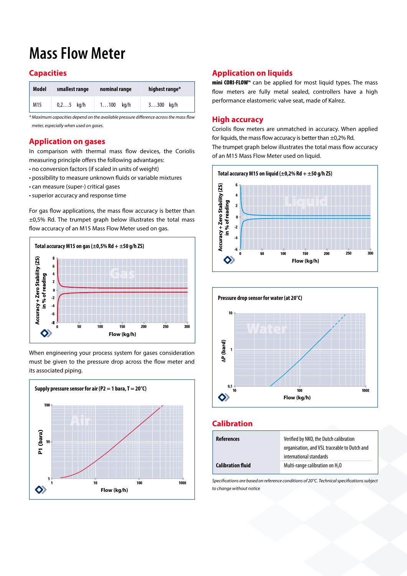# **Mass Flow Meter**

# **Capacities**

| <b>Model</b> | smallest range | nominal range | highest range* |
|--------------|----------------|---------------|----------------|
| M15          | $0, 25$ kg/h   | $1100$ kg/h   | $3300$ kg/h    |

*\* Maximum capacities depend on the available pressure difference across the mass flow meter, especially when used on gases.* 

#### **Application on gases**

In comparison with thermal mass flow devices, the Coriolis measuring principle offers the following advantages:

- no conversion factors (if scaled in units of weight)
- possibility to measure unknown fluids or variable mixtures
- can measure (super-) critical gases
- superior accuracy and response time

For gas flow applications, the mass flow accuracy is better than ±0,5% Rd. The trumpet graph below illustrates the total mass flow accuracy of an M15 Mass Flow Meter used on gas.



When engineering your process system for gases consideration must be given to the pressure drop across the flow meter and its associated piping.



# **Application on liquids**

mini CORI-FLOW<sup>M</sup> can be applied for most liquid types. The mass flow meters are fully metal sealed, controllers have a high performance elastomeric valve seat, made of Kalrez.

# **High accuracy**

Coriolis flow meters are unmatched in accuracy. When applied for liquids, the mass flow accuracy is better than  $\pm$ 0,2% Rd. The trumpet graph below illustrates the total mass flow accuracy of an M15 Mass Flow Meter used on liquid.





# **Calibration**

| <b>References</b>        | Verified by NKO, the Dutch calibration<br>organisation, and VSL traceable to Dutch and |
|--------------------------|----------------------------------------------------------------------------------------|
|                          | international standards                                                                |
| <b>Calibration fluid</b> | Multi-range calibration on H <sub>2</sub> O                                            |

*Specifications are based on reference conditions of 20°C. Technical specifications subject to change without notice*